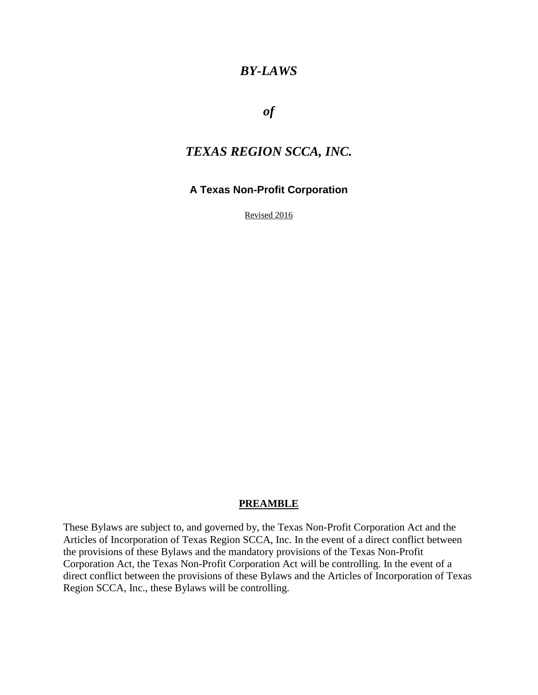# *BY-LAWS*

*of* 

# *TEXAS REGION SCCA, INC.*

### **A Texas Non-Profit Corporation**

Revised 2016

#### **PREAMBLE**

These Bylaws are subject to, and governed by, the Texas Non-Profit Corporation Act and the Articles of Incorporation of Texas Region SCCA, Inc. In the event of a direct conflict between the provisions of these Bylaws and the mandatory provisions of the Texas Non-Profit Corporation Act, the Texas Non-Profit Corporation Act will be controlling. In the event of a direct conflict between the provisions of these Bylaws and the Articles of Incorporation of Texas Region SCCA, Inc., these Bylaws will be controlling.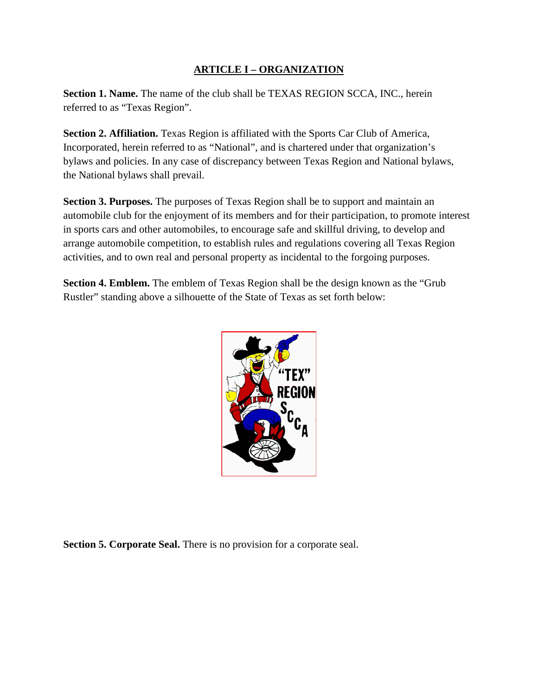### **ARTICLE I – ORGANIZATION**

**Section 1. Name.** The name of the club shall be TEXAS REGION SCCA, INC., herein referred to as "Texas Region".

**Section 2. Affiliation.** Texas Region is affiliated with the Sports Car Club of America, Incorporated, herein referred to as "National", and is chartered under that organization's bylaws and policies. In any case of discrepancy between Texas Region and National bylaws, the National bylaws shall prevail.

**Section 3. Purposes.** The purposes of Texas Region shall be to support and maintain an automobile club for the enjoyment of its members and for their participation, to promote interest in sports cars and other automobiles, to encourage safe and skillful driving, to develop and arrange automobile competition, to establish rules and regulations covering all Texas Region activities, and to own real and personal property as incidental to the forgoing purposes.

**Section 4. Emblem.** The emblem of Texas Region shall be the design known as the "Grub" Rustler" standing above a silhouette of the State of Texas as set forth below:



**Section 5. Corporate Seal.** There is no provision for a corporate seal.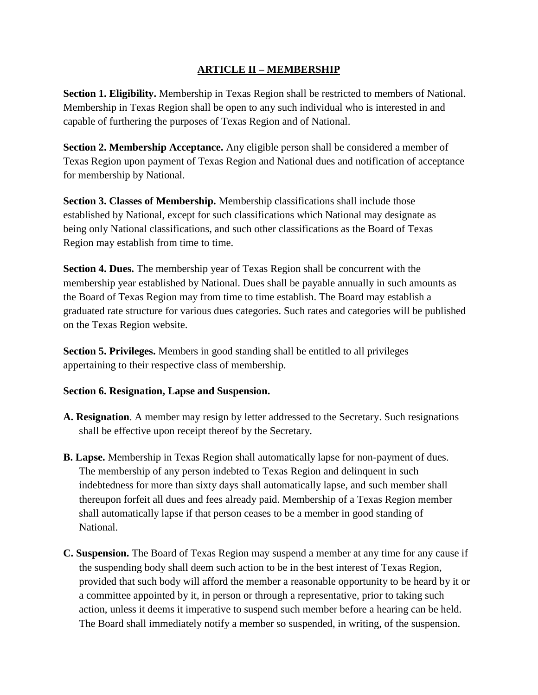### **ARTICLE II – MEMBERSHIP**

**Section 1. Eligibility.** Membership in Texas Region shall be restricted to members of National. Membership in Texas Region shall be open to any such individual who is interested in and capable of furthering the purposes of Texas Region and of National.

**Section 2. Membership Acceptance.** Any eligible person shall be considered a member of Texas Region upon payment of Texas Region and National dues and notification of acceptance for membership by National.

**Section 3. Classes of Membership.** Membership classifications shall include those established by National, except for such classifications which National may designate as being only National classifications, and such other classifications as the Board of Texas Region may establish from time to time.

**Section 4. Dues.** The membership year of Texas Region shall be concurrent with the membership year established by National. Dues shall be payable annually in such amounts as the Board of Texas Region may from time to time establish. The Board may establish a graduated rate structure for various dues categories. Such rates and categories will be published on the Texas Region website.

**Section 5. Privileges.** Members in good standing shall be entitled to all privileges appertaining to their respective class of membership.

#### **Section 6. Resignation, Lapse and Suspension.**

- **A. Resignation**. A member may resign by letter addressed to the Secretary. Such resignations shall be effective upon receipt thereof by the Secretary.
- **B. Lapse.** Membership in Texas Region shall automatically lapse for non-payment of dues. The membership of any person indebted to Texas Region and delinquent in such indebtedness for more than sixty days shall automatically lapse, and such member shall thereupon forfeit all dues and fees already paid. Membership of a Texas Region member shall automatically lapse if that person ceases to be a member in good standing of National.
- **C. Suspension.** The Board of Texas Region may suspend a member at any time for any cause if the suspending body shall deem such action to be in the best interest of Texas Region, provided that such body will afford the member a reasonable opportunity to be heard by it or a committee appointed by it, in person or through a representative, prior to taking such action, unless it deems it imperative to suspend such member before a hearing can be held. The Board shall immediately notify a member so suspended, in writing, of the suspension.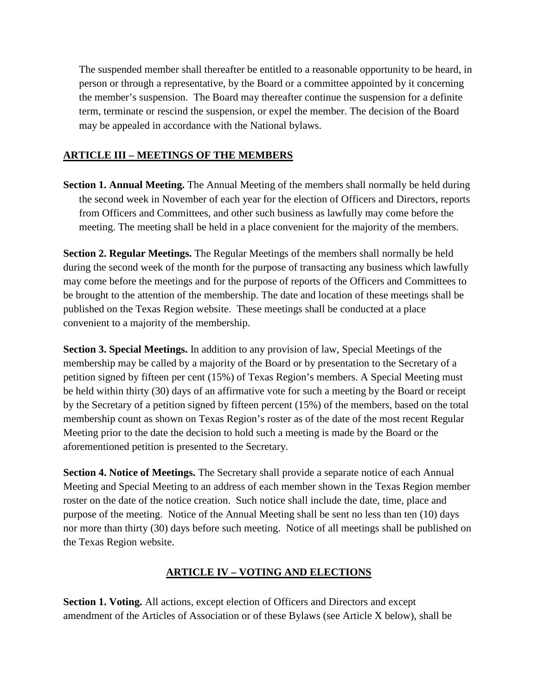The suspended member shall thereafter be entitled to a reasonable opportunity to be heard, in person or through a representative, by the Board or a committee appointed by it concerning the member's suspension. The Board may thereafter continue the suspension for a definite term, terminate or rescind the suspension, or expel the member. The decision of the Board may be appealed in accordance with the National bylaws.

### **ARTICLE III – MEETINGS OF THE MEMBERS**

**Section 1. Annual Meeting.** The Annual Meeting of the members shall normally be held during the second week in November of each year for the election of Officers and Directors, reports from Officers and Committees, and other such business as lawfully may come before the meeting. The meeting shall be held in a place convenient for the majority of the members.

**Section 2. Regular Meetings.** The Regular Meetings of the members shall normally be held during the second week of the month for the purpose of transacting any business which lawfully may come before the meetings and for the purpose of reports of the Officers and Committees to be brought to the attention of the membership. The date and location of these meetings shall be published on the Texas Region website. These meetings shall be conducted at a place convenient to a majority of the membership.

**Section 3. Special Meetings.** In addition to any provision of law, Special Meetings of the membership may be called by a majority of the Board or by presentation to the Secretary of a petition signed by fifteen per cent (15%) of Texas Region's members. A Special Meeting must be held within thirty (30) days of an affirmative vote for such a meeting by the Board or receipt by the Secretary of a petition signed by fifteen percent (15%) of the members, based on the total membership count as shown on Texas Region's roster as of the date of the most recent Regular Meeting prior to the date the decision to hold such a meeting is made by the Board or the aforementioned petition is presented to the Secretary.

**Section 4. Notice of Meetings.** The Secretary shall provide a separate notice of each Annual Meeting and Special Meeting to an address of each member shown in the Texas Region member roster on the date of the notice creation. Such notice shall include the date, time, place and purpose of the meeting. Notice of the Annual Meeting shall be sent no less than ten (10) days nor more than thirty (30) days before such meeting. Notice of all meetings shall be published on the Texas Region website.

#### **ARTICLE IV – VOTING AND ELECTIONS**

**Section 1. Voting.** All actions, except election of Officers and Directors and except amendment of the Articles of Association or of these Bylaws (see Article X below), shall be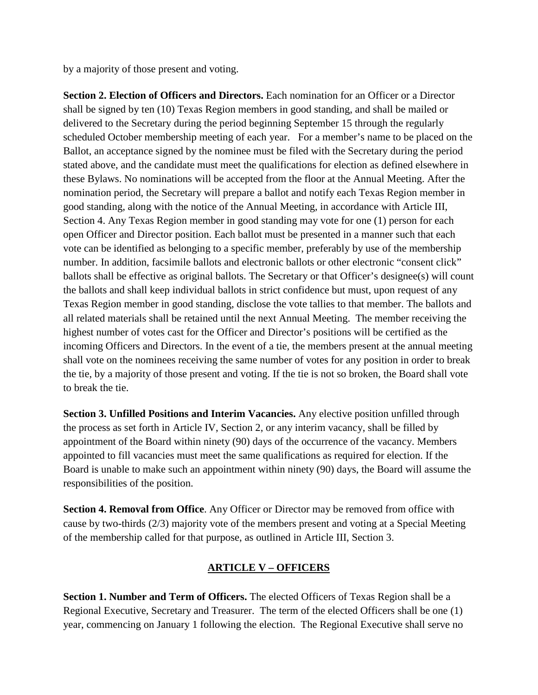by a majority of those present and voting.

**Section 2. Election of Officers and Directors.** Each nomination for an Officer or a Director shall be signed by ten (10) Texas Region members in good standing, and shall be mailed or delivered to the Secretary during the period beginning September 15 through the regularly scheduled October membership meeting of each year. For a member's name to be placed on the Ballot, an acceptance signed by the nominee must be filed with the Secretary during the period stated above, and the candidate must meet the qualifications for election as defined elsewhere in these Bylaws. No nominations will be accepted from the floor at the Annual Meeting. After the nomination period, the Secretary will prepare a ballot and notify each Texas Region member in good standing, along with the notice of the Annual Meeting, in accordance with Article III, Section 4. Any Texas Region member in good standing may vote for one (1) person for each open Officer and Director position. Each ballot must be presented in a manner such that each vote can be identified as belonging to a specific member, preferably by use of the membership number. In addition, facsimile ballots and electronic ballots or other electronic "consent click" ballots shall be effective as original ballots. The Secretary or that Officer's designee(s) will count the ballots and shall keep individual ballots in strict confidence but must, upon request of any Texas Region member in good standing, disclose the vote tallies to that member. The ballots and all related materials shall be retained until the next Annual Meeting. The member receiving the highest number of votes cast for the Officer and Director's positions will be certified as the incoming Officers and Directors. In the event of a tie, the members present at the annual meeting shall vote on the nominees receiving the same number of votes for any position in order to break the tie, by a majority of those present and voting. If the tie is not so broken, the Board shall vote to break the tie.

**Section 3. Unfilled Positions and Interim Vacancies.** Any elective position unfilled through the process as set forth in Article IV, Section 2, or any interim vacancy, shall be filled by appointment of the Board within ninety (90) days of the occurrence of the vacancy. Members appointed to fill vacancies must meet the same qualifications as required for election. If the Board is unable to make such an appointment within ninety (90) days, the Board will assume the responsibilities of the position.

**Section 4. Removal from Office**. Any Officer or Director may be removed from office with cause by two-thirds (2/3) majority vote of the members present and voting at a Special Meeting of the membership called for that purpose, as outlined in Article III, Section 3.

### **ARTICLE V – OFFICERS**

**Section 1. Number and Term of Officers.** The elected Officers of Texas Region shall be a Regional Executive, Secretary and Treasurer. The term of the elected Officers shall be one (1) year, commencing on January 1 following the election. The Regional Executive shall serve no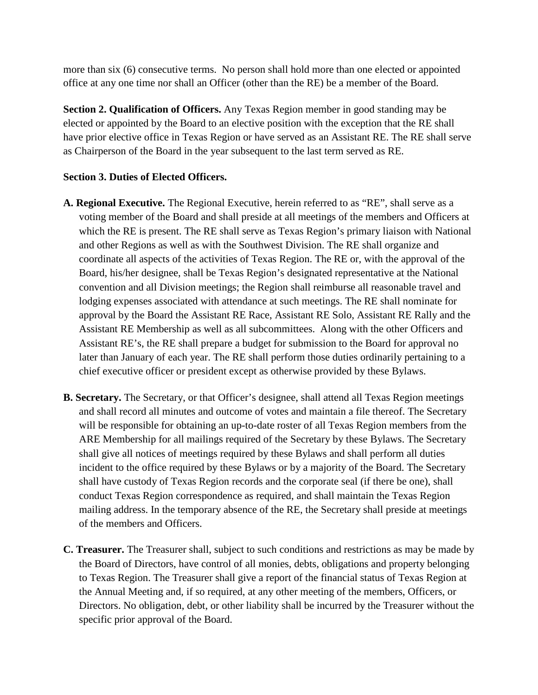more than six (6) consecutive terms. No person shall hold more than one elected or appointed office at any one time nor shall an Officer (other than the RE) be a member of the Board.

**Section 2. Qualification of Officers.** Any Texas Region member in good standing may be elected or appointed by the Board to an elective position with the exception that the RE shall have prior elective office in Texas Region or have served as an Assistant RE. The RE shall serve as Chairperson of the Board in the year subsequent to the last term served as RE.

#### **Section 3. Duties of Elected Officers.**

- **A. Regional Executive.** The Regional Executive, herein referred to as "RE", shall serve as a voting member of the Board and shall preside at all meetings of the members and Officers at which the RE is present. The RE shall serve as Texas Region's primary liaison with National and other Regions as well as with the Southwest Division. The RE shall organize and coordinate all aspects of the activities of Texas Region. The RE or, with the approval of the Board, his/her designee, shall be Texas Region's designated representative at the National convention and all Division meetings; the Region shall reimburse all reasonable travel and lodging expenses associated with attendance at such meetings. The RE shall nominate for approval by the Board the Assistant RE Race, Assistant RE Solo, Assistant RE Rally and the Assistant RE Membership as well as all subcommittees. Along with the other Officers and Assistant RE's, the RE shall prepare a budget for submission to the Board for approval no later than January of each year. The RE shall perform those duties ordinarily pertaining to a chief executive officer or president except as otherwise provided by these Bylaws.
- **B. Secretary.** The Secretary, or that Officer's designee, shall attend all Texas Region meetings and shall record all minutes and outcome of votes and maintain a file thereof. The Secretary will be responsible for obtaining an up-to-date roster of all Texas Region members from the ARE Membership for all mailings required of the Secretary by these Bylaws. The Secretary shall give all notices of meetings required by these Bylaws and shall perform all duties incident to the office required by these Bylaws or by a majority of the Board. The Secretary shall have custody of Texas Region records and the corporate seal (if there be one), shall conduct Texas Region correspondence as required, and shall maintain the Texas Region mailing address. In the temporary absence of the RE, the Secretary shall preside at meetings of the members and Officers.
- **C. Treasurer.** The Treasurer shall, subject to such conditions and restrictions as may be made by the Board of Directors, have control of all monies, debts, obligations and property belonging to Texas Region. The Treasurer shall give a report of the financial status of Texas Region at the Annual Meeting and, if so required, at any other meeting of the members, Officers, or Directors. No obligation, debt, or other liability shall be incurred by the Treasurer without the specific prior approval of the Board.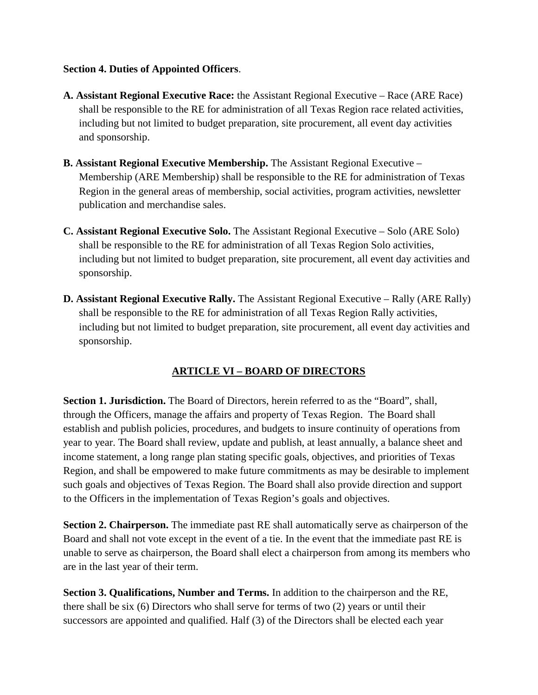#### **Section 4. Duties of Appointed Officers**.

- **A. Assistant Regional Executive Race:** the Assistant Regional Executive Race (ARE Race) shall be responsible to the RE for administration of all Texas Region race related activities, including but not limited to budget preparation, site procurement, all event day activities and sponsorship.
- **B. Assistant Regional Executive Membership.** The Assistant Regional Executive Membership (ARE Membership) shall be responsible to the RE for administration of Texas Region in the general areas of membership, social activities, program activities, newsletter publication and merchandise sales.
- **C. Assistant Regional Executive Solo.** The Assistant Regional Executive Solo (ARE Solo) shall be responsible to the RE for administration of all Texas Region Solo activities, including but not limited to budget preparation, site procurement, all event day activities and sponsorship.
- **D. Assistant Regional Executive Rally.** The Assistant Regional Executive Rally (ARE Rally) shall be responsible to the RE for administration of all Texas Region Rally activities, including but not limited to budget preparation, site procurement, all event day activities and sponsorship.

# **ARTICLE VI – BOARD OF DIRECTORS**

Section 1. Jurisdiction. The Board of Directors, herein referred to as the "Board", shall, through the Officers, manage the affairs and property of Texas Region. The Board shall establish and publish policies, procedures, and budgets to insure continuity of operations from year to year. The Board shall review, update and publish, at least annually, a balance sheet and income statement, a long range plan stating specific goals, objectives, and priorities of Texas Region, and shall be empowered to make future commitments as may be desirable to implement such goals and objectives of Texas Region. The Board shall also provide direction and support to the Officers in the implementation of Texas Region's goals and objectives.

**Section 2. Chairperson.** The immediate past RE shall automatically serve as chairperson of the Board and shall not vote except in the event of a tie. In the event that the immediate past RE is unable to serve as chairperson, the Board shall elect a chairperson from among its members who are in the last year of their term.

**Section 3. Qualifications, Number and Terms.** In addition to the chairperson and the RE, there shall be six (6) Directors who shall serve for terms of two (2) years or until their successors are appointed and qualified. Half (3) of the Directors shall be elected each year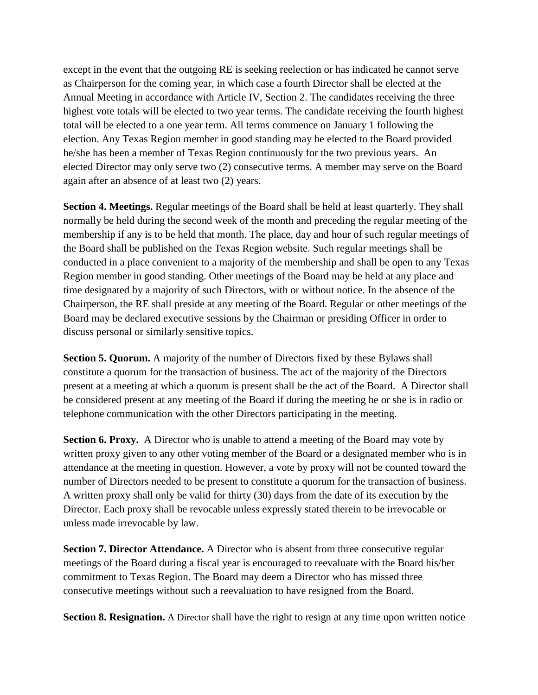except in the event that the outgoing RE is seeking reelection or has indicated he cannot serve as Chairperson for the coming year, in which case a fourth Director shall be elected at the Annual Meeting in accordance with Article IV, Section 2. The candidates receiving the three highest vote totals will be elected to two year terms. The candidate receiving the fourth highest total will be elected to a one year term. All terms commence on January 1 following the election. Any Texas Region member in good standing may be elected to the Board provided he/she has been a member of Texas Region continuously for the two previous years. An elected Director may only serve two (2) consecutive terms. A member may serve on the Board again after an absence of at least two (2) years.

**Section 4. Meetings.** Regular meetings of the Board shall be held at least quarterly. They shall normally be held during the second week of the month and preceding the regular meeting of the membership if any is to be held that month. The place, day and hour of such regular meetings of the Board shall be published on the Texas Region website. Such regular meetings shall be conducted in a place convenient to a majority of the membership and shall be open to any Texas Region member in good standing. Other meetings of the Board may be held at any place and time designated by a majority of such Directors, with or without notice. In the absence of the Chairperson, the RE shall preside at any meeting of the Board. Regular or other meetings of the Board may be declared executive sessions by the Chairman or presiding Officer in order to discuss personal or similarly sensitive topics.

**Section 5. Quorum.** A majority of the number of Directors fixed by these Bylaws shall constitute a quorum for the transaction of business. The act of the majority of the Directors present at a meeting at which a quorum is present shall be the act of the Board. A Director shall be considered present at any meeting of the Board if during the meeting he or she is in radio or telephone communication with the other Directors participating in the meeting.

**Section 6. Proxy.** A Director who is unable to attend a meeting of the Board may vote by written proxy given to any other voting member of the Board or a designated member who is in attendance at the meeting in question. However, a vote by proxy will not be counted toward the number of Directors needed to be present to constitute a quorum for the transaction of business. A written proxy shall only be valid for thirty (30) days from the date of its execution by the Director. Each proxy shall be revocable unless expressly stated therein to be irrevocable or unless made irrevocable by law.

**Section 7. Director Attendance.** A Director who is absent from three consecutive regular meetings of the Board during a fiscal year is encouraged to reevaluate with the Board his/her commitment to Texas Region. The Board may deem a Director who has missed three consecutive meetings without such a reevaluation to have resigned from the Board.

**Section 8. Resignation.** A Director shall have the right to resign at any time upon written notice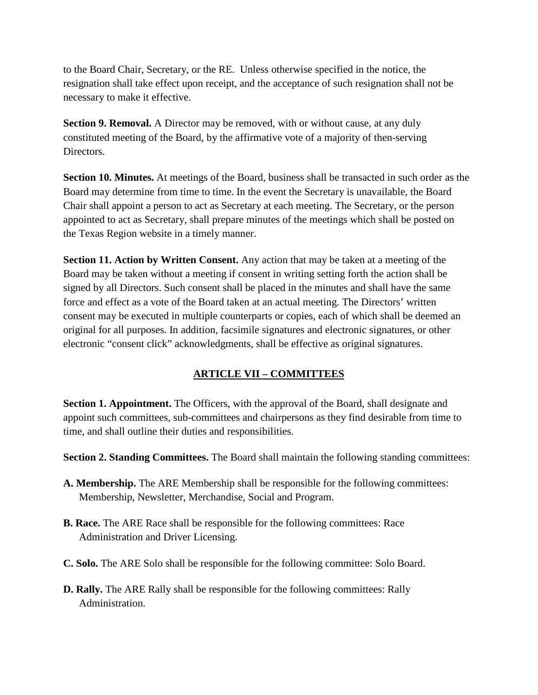to the Board Chair, Secretary, or the RE. Unless otherwise specified in the notice, the resignation shall take effect upon receipt, and the acceptance of such resignation shall not be necessary to make it effective.

**Section 9. Removal.** A Director may be removed, with or without cause, at any duly constituted meeting of the Board, by the affirmative vote of a majority of then-serving Directors.

**Section 10. Minutes.** At meetings of the Board, business shall be transacted in such order as the Board may determine from time to time. In the event the Secretary is unavailable, the Board Chair shall appoint a person to act as Secretary at each meeting. The Secretary, or the person appointed to act as Secretary, shall prepare minutes of the meetings which shall be posted on the Texas Region website in a timely manner.

**Section 11. Action by Written Consent.** Any action that may be taken at a meeting of the Board may be taken without a meeting if consent in writing setting forth the action shall be signed by all Directors. Such consent shall be placed in the minutes and shall have the same force and effect as a vote of the Board taken at an actual meeting. The Directors' written consent may be executed in multiple counterparts or copies, each of which shall be deemed an original for all purposes. In addition, facsimile signatures and electronic signatures, or other electronic "consent click" acknowledgments, shall be effective as original signatures.

### **ARTICLE VII – COMMITTEES**

**Section 1. Appointment.** The Officers, with the approval of the Board, shall designate and appoint such committees, sub-committees and chairpersons as they find desirable from time to time, and shall outline their duties and responsibilities.

**Section 2. Standing Committees.** The Board shall maintain the following standing committees:

- **A. Membership.** The ARE Membership shall be responsible for the following committees: Membership, Newsletter, Merchandise, Social and Program.
- **B. Race.** The ARE Race shall be responsible for the following committees: Race Administration and Driver Licensing.
- **C. Solo.** The ARE Solo shall be responsible for the following committee: Solo Board.
- **D. Rally.** The ARE Rally shall be responsible for the following committees: Rally Administration.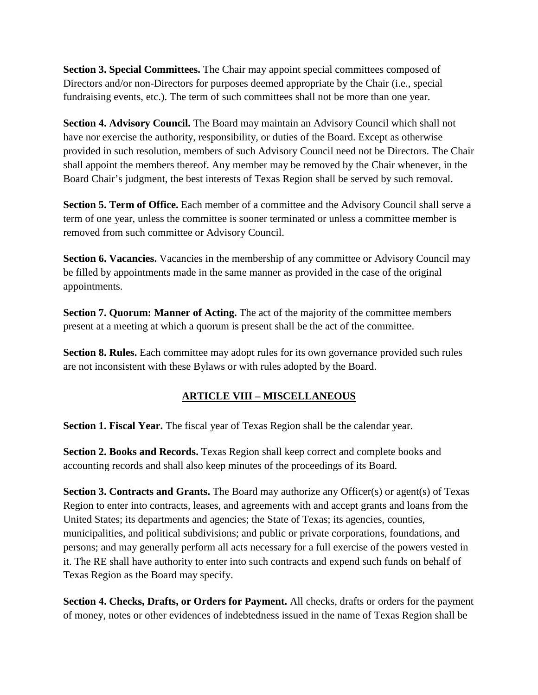**Section 3. Special Committees.** The Chair may appoint special committees composed of Directors and/or non-Directors for purposes deemed appropriate by the Chair (i.e., special fundraising events, etc.). The term of such committees shall not be more than one year.

**Section 4. Advisory Council.** The Board may maintain an Advisory Council which shall not have nor exercise the authority, responsibility, or duties of the Board. Except as otherwise provided in such resolution, members of such Advisory Council need not be Directors. The Chair shall appoint the members thereof. Any member may be removed by the Chair whenever, in the Board Chair's judgment, the best interests of Texas Region shall be served by such removal.

**Section 5. Term of Office.** Each member of a committee and the Advisory Council shall serve a term of one year, unless the committee is sooner terminated or unless a committee member is removed from such committee or Advisory Council.

**Section 6. Vacancies.** Vacancies in the membership of any committee or Advisory Council may be filled by appointments made in the same manner as provided in the case of the original appointments.

**Section 7. Quorum: Manner of Acting.** The act of the majority of the committee members present at a meeting at which a quorum is present shall be the act of the committee.

**Section 8. Rules.** Each committee may adopt rules for its own governance provided such rules are not inconsistent with these Bylaws or with rules adopted by the Board.

# **ARTICLE VIII – MISCELLANEOUS**

**Section 1. Fiscal Year.** The fiscal year of Texas Region shall be the calendar year.

**Section 2. Books and Records.** Texas Region shall keep correct and complete books and accounting records and shall also keep minutes of the proceedings of its Board.

**Section 3. Contracts and Grants.** The Board may authorize any Officer(s) or agent(s) of Texas Region to enter into contracts, leases, and agreements with and accept grants and loans from the United States; its departments and agencies; the State of Texas; its agencies, counties, municipalities, and political subdivisions; and public or private corporations, foundations, and persons; and may generally perform all acts necessary for a full exercise of the powers vested in it. The RE shall have authority to enter into such contracts and expend such funds on behalf of Texas Region as the Board may specify.

**Section 4. Checks, Drafts, or Orders for Payment.** All checks, drafts or orders for the payment of money, notes or other evidences of indebtedness issued in the name of Texas Region shall be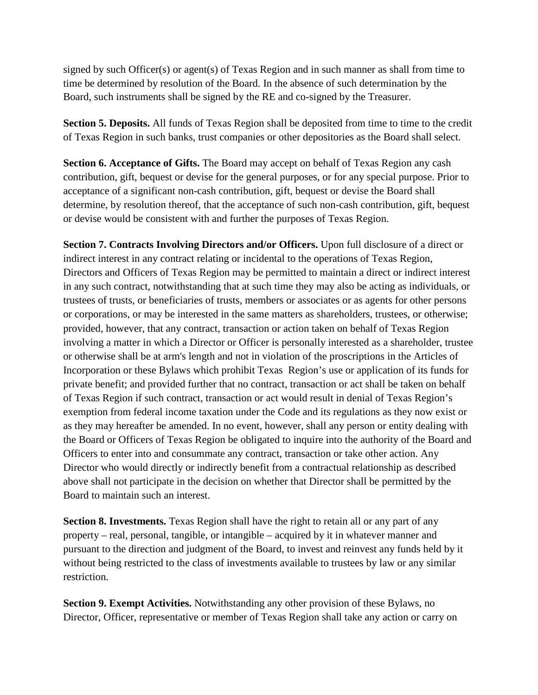signed by such Officer(s) or agent(s) of Texas Region and in such manner as shall from time to time be determined by resolution of the Board. In the absence of such determination by the Board, such instruments shall be signed by the RE and co-signed by the Treasurer.

**Section 5. Deposits.** All funds of Texas Region shall be deposited from time to time to the credit of Texas Region in such banks, trust companies or other depositories as the Board shall select.

**Section 6. Acceptance of Gifts.** The Board may accept on behalf of Texas Region any cash contribution, gift, bequest or devise for the general purposes, or for any special purpose. Prior to acceptance of a significant non-cash contribution, gift, bequest or devise the Board shall determine, by resolution thereof, that the acceptance of such non-cash contribution, gift, bequest or devise would be consistent with and further the purposes of Texas Region.

**Section 7. Contracts Involving Directors and/or Officers.** Upon full disclosure of a direct or indirect interest in any contract relating or incidental to the operations of Texas Region, Directors and Officers of Texas Region may be permitted to maintain a direct or indirect interest in any such contract, notwithstanding that at such time they may also be acting as individuals, or trustees of trusts, or beneficiaries of trusts, members or associates or as agents for other persons or corporations, or may be interested in the same matters as shareholders, trustees, or otherwise; provided, however, that any contract, transaction or action taken on behalf of Texas Region involving a matter in which a Director or Officer is personally interested as a shareholder, trustee or otherwise shall be at arm's length and not in violation of the proscriptions in the Articles of Incorporation or these Bylaws which prohibit Texas Region's use or application of its funds for private benefit; and provided further that no contract, transaction or act shall be taken on behalf of Texas Region if such contract, transaction or act would result in denial of Texas Region's exemption from federal income taxation under the Code and its regulations as they now exist or as they may hereafter be amended. In no event, however, shall any person or entity dealing with the Board or Officers of Texas Region be obligated to inquire into the authority of the Board and Officers to enter into and consummate any contract, transaction or take other action. Any Director who would directly or indirectly benefit from a contractual relationship as described above shall not participate in the decision on whether that Director shall be permitted by the Board to maintain such an interest.

**Section 8. Investments.** Texas Region shall have the right to retain all or any part of any property – real, personal, tangible, or intangible – acquired by it in whatever manner and pursuant to the direction and judgment of the Board, to invest and reinvest any funds held by it without being restricted to the class of investments available to trustees by law or any similar restriction.

**Section 9. Exempt Activities.** Notwithstanding any other provision of these Bylaws, no Director, Officer, representative or member of Texas Region shall take any action or carry on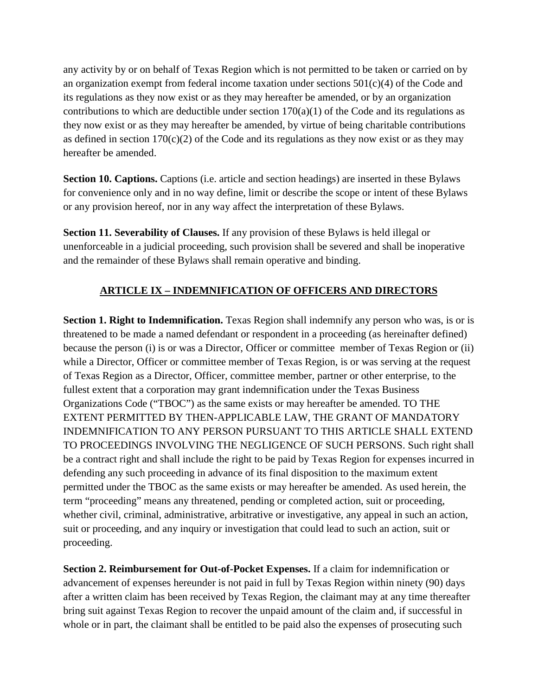any activity by or on behalf of Texas Region which is not permitted to be taken or carried on by an organization exempt from federal income taxation under sections  $501(c)(4)$  of the Code and its regulations as they now exist or as they may hereafter be amended, or by an organization contributions to which are deductible under section  $170(a)(1)$  of the Code and its regulations as they now exist or as they may hereafter be amended, by virtue of being charitable contributions as defined in section  $170(c)(2)$  of the Code and its regulations as they now exist or as they may hereafter be amended.

**Section 10. Captions.** Captions (i.e. article and section headings) are inserted in these Bylaws for convenience only and in no way define, limit or describe the scope or intent of these Bylaws or any provision hereof, nor in any way affect the interpretation of these Bylaws.

**Section 11. Severability of Clauses.** If any provision of these Bylaws is held illegal or unenforceable in a judicial proceeding, such provision shall be severed and shall be inoperative and the remainder of these Bylaws shall remain operative and binding.

## **ARTICLE IX – INDEMNIFICATION OF OFFICERS AND DIRECTORS**

**Section 1. Right to Indemnification.** Texas Region shall indemnify any person who was, is or is threatened to be made a named defendant or respondent in a proceeding (as hereinafter defined) because the person (i) is or was a Director, Officer or committee member of Texas Region or (ii) while a Director, Officer or committee member of Texas Region, is or was serving at the request of Texas Region as a Director, Officer, committee member, partner or other enterprise, to the fullest extent that a corporation may grant indemnification under the Texas Business Organizations Code ("TBOC") as the same exists or may hereafter be amended. TO THE EXTENT PERMITTED BY THEN-APPLICABLE LAW, THE GRANT OF MANDATORY INDEMNIFICATION TO ANY PERSON PURSUANT TO THIS ARTICLE SHALL EXTEND TO PROCEEDINGS INVOLVING THE NEGLIGENCE OF SUCH PERSONS. Such right shall be a contract right and shall include the right to be paid by Texas Region for expenses incurred in defending any such proceeding in advance of its final disposition to the maximum extent permitted under the TBOC as the same exists or may hereafter be amended. As used herein, the term "proceeding" means any threatened, pending or completed action, suit or proceeding, whether civil, criminal, administrative, arbitrative or investigative, any appeal in such an action, suit or proceeding, and any inquiry or investigation that could lead to such an action, suit or proceeding.

**Section 2. Reimbursement for Out-of-Pocket Expenses.** If a claim for indemnification or advancement of expenses hereunder is not paid in full by Texas Region within ninety (90) days after a written claim has been received by Texas Region, the claimant may at any time thereafter bring suit against Texas Region to recover the unpaid amount of the claim and, if successful in whole or in part, the claimant shall be entitled to be paid also the expenses of prosecuting such